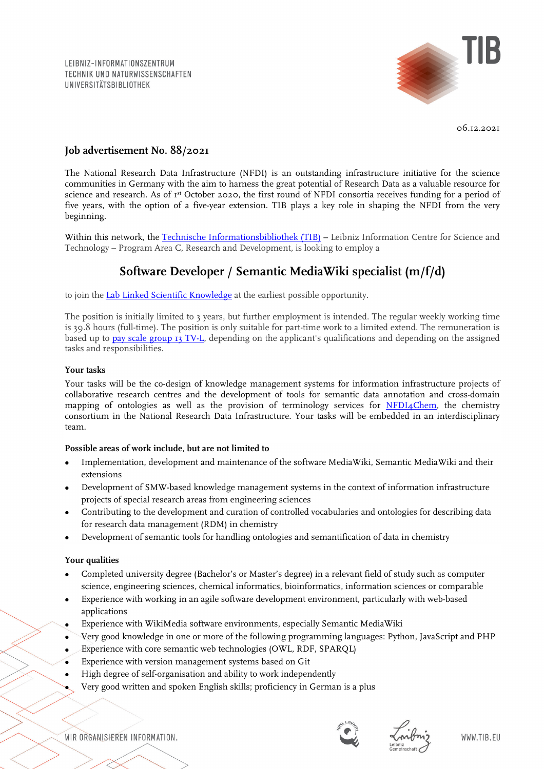LEIBNIZ-INFORMATIONSZENTRUM TECHNIK UND NATURWISSENSCHAFTEN **UNIVERSITÄTSBIBLIOTHEK** 



06.12.2021

# **Job advertisement No. 88/2021**

The National Research Data Infrastructure (NFDI) is an outstanding infrastructure initiative for the science communities in Germany with the aim to harness the great potential of Research Data as a valuable resource for science and research. As of 1st October 2020, the first round of NFDI consortia receives funding for a period of five years, with the option of a five-year extension. TIB plays a key role in shaping the NFDI from the very beginning.

Within this network, the [Technische Informationsbibliothek \(TIB\)](https://www.tib.eu/en/) - Leibniz Information Centre for Science and Technology – Program Area C, Research and Development, is looking to employ a

# **Software Developer / Semantic MediaWiki specialist (m/f/d)**

to join the [Lab Linked Scientific Knowledge](https://www.tib.eu/en/research-development/research-groups-and-labs/data-science-digital-libraries/linked-scientific-knowledge) at the earliest possible opportunity.

The position is initially limited to 3 years, but further employment is intended. The regular weekly working time is 39.8 hours (full-time). The position is only suitable for part-time work to a limited extend. The remuneration is based up to [pay scale group 13 TV-L,](https://oeffentlicher-dienst.info/c/t/rechner/tv-l/west?id=tv-l-2021&matrix=1) depending on the applicant's qualifications and depending on the assigned tasks and responsibilities.

# **Your tasks**

Your tasks will be the co-design of knowledge management systems for information infrastructure projects of collaborative research centres and the development of tools for semantic data annotation and cross-domain mapping of ontologies as well as the provision of terminology services for  $NFDI_4Chem$ , the chemistry consortium in the National Research Data Infrastructure. Your tasks will be embedded in an interdisciplinary team.

# **Possible areas of work include, but are not limited to**

- Implementation, development and maintenance of the software MediaWiki, Semantic MediaWiki and their extensions
- Development of SMW-based knowledge management systems in the context of information infrastructure projects of special research areas from engineering sciences
- Contributing to the development and curation of controlled vocabularies and ontologies for describing data for research data management (RDM) in chemistry
- Development of semantic tools for handling ontologies and semantification of data in chemistry

# **Your qualities**

- Completed university degree (Bachelor's or Master's degree) in a relevant field of study such as computer science, engineering sciences, chemical informatics, bioinformatics, information sciences or comparable
- Experience with working in an agile software development environment, particularly with web-based applications
- Experience with WikiMedia software environments, especially Semantic MediaWiki
- Very good knowledge in one or more of the following programming languages: Python, JavaScript and PHP
- Experience with core semantic web technologies (OWL, RDF, SPARQL)
- Experience with version management systems based on Git
- High degree of self-organisation and ability to work independently
- Very good written and spoken English skills; proficiency in German is a plus

WIR ORGANISIEREN INFORMATION.



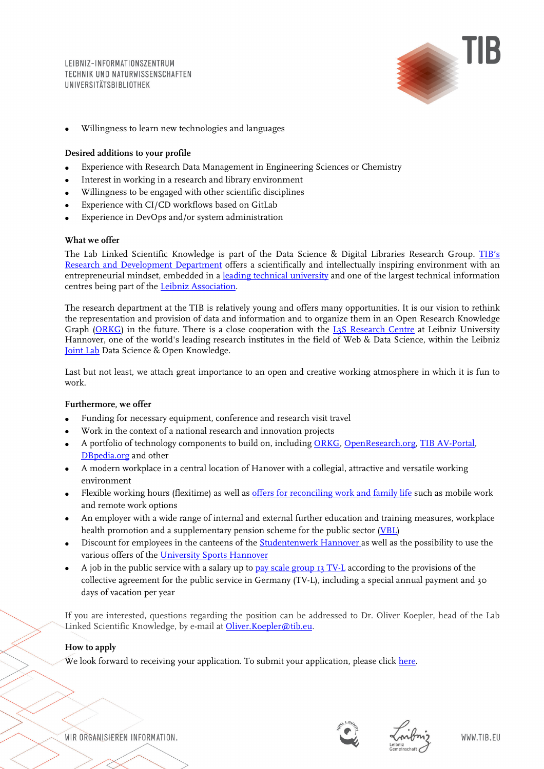LEIBNIZ-INFORMATIONSZENTRUM TECHNIK UND NATURWISSENSCHAFTEN **UNIVERSITÄTSBIBLIOTHEK** 



• Willingness to learn new technologies and languages

# **Desired additions to your profile**

- Experience with Research Data Management in Engineering Sciences or Chemistry
- Interest in working in a research and library environment
- Willingness to be engaged with other scientific disciplines
- Experience with CI/CD workflows based on GitLab
- Experience in DevOps and/or system administration

# **What we offer**

The Lab Linked Scientific Knowledge is part of the Data Science & Digital Libraries Research Group. TIB's [Research and Development Department](https://www.tib.eu/en/research-development/) offers a scientifically and intellectually inspiring environment with an entrepreneurial mindset, embedded in a [leading technical university](https://www.tu9.de/en/) and one of the largest technical information centres being part of the [Leibniz Association.](https://www.leibniz-gemeinschaft.de/en/)

The research department at the TIB is relatively young and offers many opportunities. It is our vision to rethink the representation and provision of data and information and to organize them in an Open Research Knowledge Graph [\(ORKG\)](https://projects.tib.eu/orkg/) in the future. There is a close cooperation with the [L3S Research Centre](https://www.l3s.de/en) at Leibniz University Hannover, one of the world's leading research institutes in the field of Web & Data Science, within the Leibniz [Joint Lab](https://www.tib.eu/en/research-development/joint-lab) Data Science & Open Knowledge.

Last but not least, we attach great importance to an open and creative working atmosphere in which it is fun to work.

# **Furthermore, we offer**

- Funding for necessary equipment, conference and research visit travel
- Work in the context of a national research and innovation projects
- A portfolio of technology components to build on, includin[g ORKG,](https://projects.tib.eu/orkg/) [OpenResearch.org,](https://www.openresearch.org/wiki/Main_Page) [TIB AV-Portal,](https://av.tib.eu/) [DBpedia.org](https://wiki.dbpedia.org/) and other
- A modern workplace in a central location of Hanover with a collegial, attractive and versatile working environment
- Flexible working hours (flexitime) as well as [offers for reconciling work and family life](https://www.tib.eu/en/tib/careers-and-apprenticeships/equal-opportunities/) such as mobile work and remote work options
- An employer with a wide range of internal and external further education and training measures, workplace health promotion and a supplementary pension scheme for the public sector [\(VBL\)](https://www.vbl.de/de?t=/VBL/english&i=1113979957474&l=0&e=UTF-8&ParentID=1228245487465)
- Discount for employees in the canteens of the **Studentenwerk Hannover** as well as the possibility to use the various offers of the [University Sports Hannover](https://www.hochschulsport-hannover.de/en/)
- A job in the public service with a salary up to [pay scale group 13 TV-L](http://oeffentlicher-dienst.info/c/t/rechner/tv-l/west?id=tv-l-2021&matrix=1) according to the provisions of the collective agreement for the public service in Germany (TV-L), including a special annual payment and 30 days of vacation per year

If you are interested, questions regarding the position can be addressed to Dr. Oliver Koepler, head of the Lab Linked Scientific Knowledge, by e-mail at [Oliver.Koepler@tib.eu.](mailto:Oliver.Koepler@tib.eu)

# **How to apply**

We look forward to receiving your application. To submit your application, please click [here.](https://tib.eu/bewerbungsformular-88-2021eng)

WIR ORGANISIEREN INFORMATION.